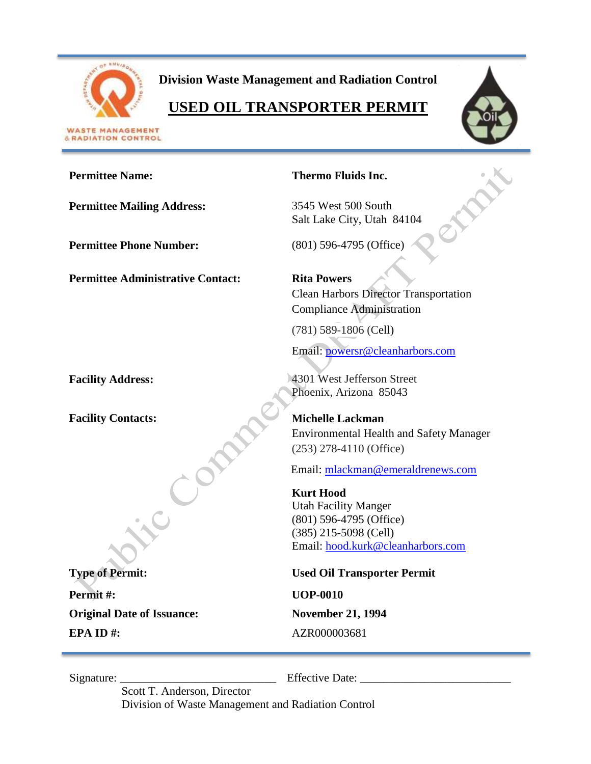

& RADIATION CONTROL

**Division Waste Management and Radiation Control**

# **USED OIL TRANSPORTER PERMIT**



| <b>Permittee Name:</b>                   | <b>Thermo Fluids Inc.</b>                                                                                                                                                                                                                                                                 |
|------------------------------------------|-------------------------------------------------------------------------------------------------------------------------------------------------------------------------------------------------------------------------------------------------------------------------------------------|
| <b>Permittee Mailing Address:</b>        | 3545 West 500 South<br>Salt Lake City, Utah 84104                                                                                                                                                                                                                                         |
| <b>Permittee Phone Number:</b>           | (801) 596-4795 (Office)                                                                                                                                                                                                                                                                   |
| <b>Permittee Administrative Contact:</b> | <b>Rita Powers</b><br><b>Clean Harbors Director Transportation</b><br><b>Compliance Administration</b><br>$(781)$ 589-1806 (Cell)                                                                                                                                                         |
| <b>Facility Address:</b>                 | Email: powersr@cleanharbors.com<br>4301 West Jefferson Street<br>Phoenix, Arizona 85043                                                                                                                                                                                                   |
| <b>Facility Contacts:</b>                | <b>Michelle Lackman</b><br><b>Environmental Health and Safety Manager</b><br>$(253)$ 278-4110 (Office)<br>Email: mlackman@emeraldrenews.com<br><b>Kurt Hood</b><br><b>Utah Facility Manger</b><br>(801) 596-4795 (Office)<br>$(385)$ 215-5098 (Cell)<br>Email: hood.kurk@cleanharbors.com |
| <b>Type of Permit:</b>                   | <b>Used Oil Transporter Permit</b>                                                                                                                                                                                                                                                        |
| Permit#:                                 | <b>UOP-0010</b>                                                                                                                                                                                                                                                                           |
| <b>Original Date of Issuance:</b>        | <b>November 21, 1994</b>                                                                                                                                                                                                                                                                  |
| EPA ID#:                                 | AZR000003681                                                                                                                                                                                                                                                                              |
| Signature: $\overline{\phantom{a}}$      | Effective Date:                                                                                                                                                                                                                                                                           |

Scott T. Anderson, Director Division of Waste Management and Radiation Control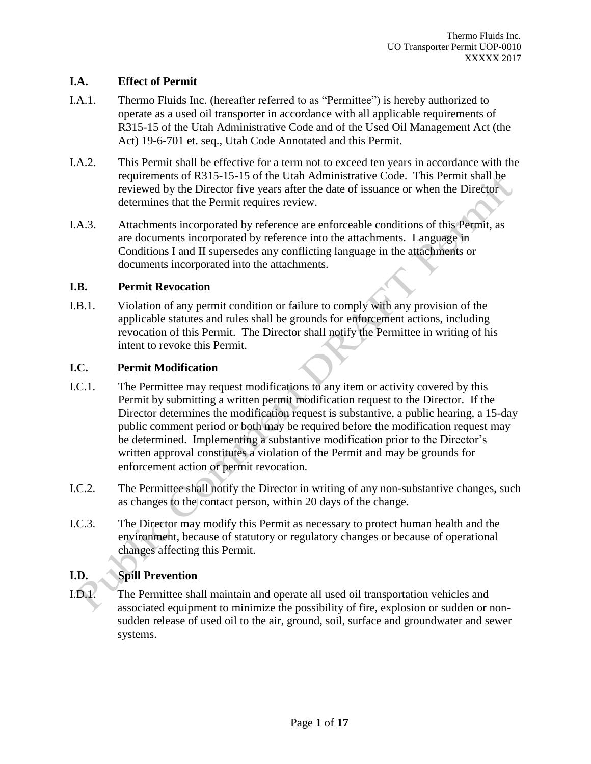#### **I.A. Effect of Permit**

- I.A.1. Thermo Fluids Inc. (hereafter referred to as "Permittee") is hereby authorized to operate as a used oil transporter in accordance with all applicable requirements of R315-15 of the Utah Administrative Code and of the Used Oil Management Act (the Act) 19-6-701 et. seq., Utah Code Annotated and this Permit.
- I.A.2. This Permit shall be effective for a term not to exceed ten years in accordance with the requirements of R315-15-15 of the Utah Administrative Code. This Permit shall be reviewed by the Director five years after the date of issuance or when the Director determines that the Permit requires review.
- I.A.3. Attachments incorporated by reference are enforceable conditions of this Permit, as are documents incorporated by reference into the attachments. Language in Conditions I and II supersedes any conflicting language in the attachments or documents incorporated into the attachments.

#### **I.B. Permit Revocation**

I.B.1. Violation of any permit condition or failure to comply with any provision of the applicable statutes and rules shall be grounds for enforcement actions, including revocation of this Permit. The Director shall notify the Permittee in writing of his intent to revoke this Permit.

#### **I.C. Permit Modification**

- I.C.1. The Permittee may request modifications to any item or activity covered by this Permit by submitting a written permit modification request to the Director. If the Director determines the modification request is substantive, a public hearing, a 15-day public comment period or both may be required before the modification request may be determined. Implementing a substantive modification prior to the Director's written approval constitutes a violation of the Permit and may be grounds for enforcement action or permit revocation.
- I.C.2. The Permittee shall notify the Director in writing of any non-substantive changes, such as changes to the contact person, within 20 days of the change.
- I.C.3. The Director may modify this Permit as necessary to protect human health and the environment, because of statutory or regulatory changes or because of operational changes affecting this Permit.

### **I.D. Spill Prevention**

I.D.1. The Permittee shall maintain and operate all used oil transportation vehicles and associated equipment to minimize the possibility of fire, explosion or sudden or nonsudden release of used oil to the air, ground, soil, surface and groundwater and sewer systems.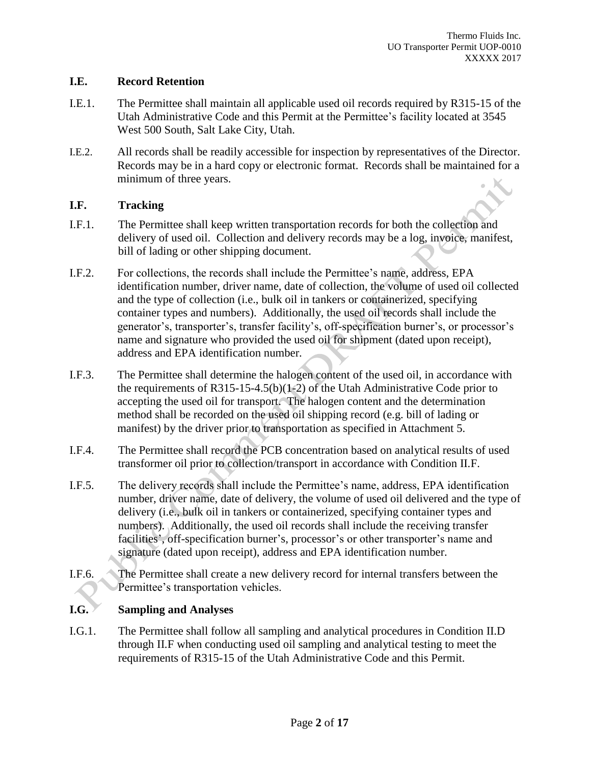#### **I.E. Record Retention**

- I.E.1. The Permittee shall maintain all applicable used oil records required by R315-15 of the Utah Administrative Code and this Permit at the Permittee's facility located at 3545 West 500 South, Salt Lake City, Utah.
- I.E.2. All records shall be readily accessible for inspection by representatives of the Director. Records may be in a hard copy or electronic format. Records shall be maintained for a minimum of three years.

#### **I.F. Tracking**

- I.F.1. The Permittee shall keep written transportation records for both the collection and delivery of used oil. Collection and delivery records may be a log, invoice, manifest, bill of lading or other shipping document.
- I.F.2. For collections, the records shall include the Permittee's name, address, EPA identification number, driver name, date of collection, the volume of used oil collected and the type of collection (i.e., bulk oil in tankers or containerized, specifying container types and numbers). Additionally, the used oil records shall include the generator's, transporter's, transfer facility's, off-specification burner's, or processor's name and signature who provided the used oil for shipment (dated upon receipt), address and EPA identification number.
- I.F.3. The Permittee shall determine the halogen content of the used oil, in accordance with the requirements of R315-15-4.5(b)(1-2) of the Utah Administrative Code prior to accepting the used oil for transport. The halogen content and the determination method shall be recorded on the used oil shipping record (e.g. bill of lading or manifest) by the driver prior to transportation as specified in Attachment 5.
- I.F.4. The Permittee shall record the PCB concentration based on analytical results of used transformer oil prior to collection/transport in accordance with Condition II.F.
- I.F.5. The delivery records shall include the Permittee's name, address, EPA identification number, driver name, date of delivery, the volume of used oil delivered and the type of delivery (i.e., bulk oil in tankers or containerized, specifying container types and numbers). Additionally, the used oil records shall include the receiving transfer facilities', off-specification burner's, processor's or other transporter's name and signature (dated upon receipt), address and EPA identification number.
- I.F.6. The Permittee shall create a new delivery record for internal transfers between the Permittee's transportation vehicles.

#### **I.G. Sampling and Analyses**

I.G.1. The Permittee shall follow all sampling and analytical procedures in Condition II.D through II.F when conducting used oil sampling and analytical testing to meet the requirements of R315-15 of the Utah Administrative Code and this Permit.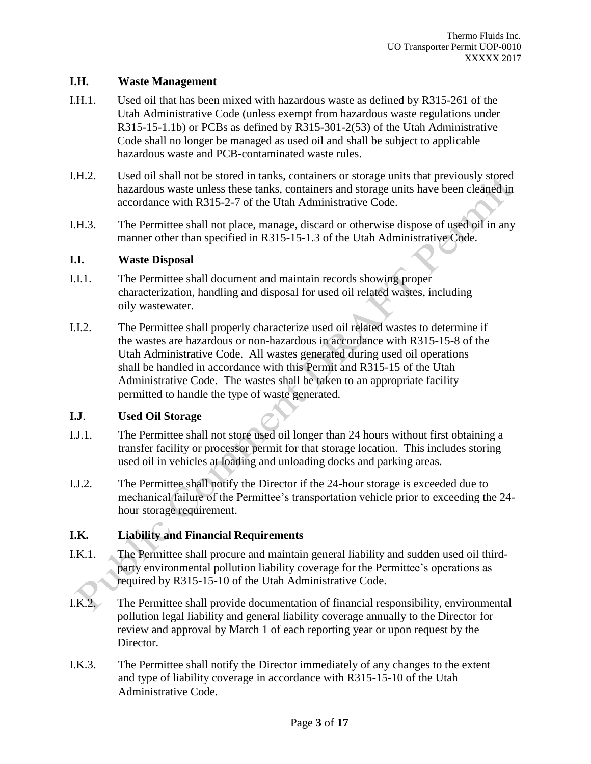#### **I.H. Waste Management**

- I.H.1. Used oil that has been mixed with hazardous waste as defined by R315-261 of the Utah Administrative Code (unless exempt from hazardous waste regulations under R315-15-1.1b) or PCBs as defined by R315-301-2(53) of the Utah Administrative Code shall no longer be managed as used oil and shall be subject to applicable hazardous waste and PCB-contaminated waste rules.
- I.H.2. Used oil shall not be stored in tanks, containers or storage units that previously stored hazardous waste unless these tanks, containers and storage units have been cleaned in accordance with R315-2-7 of the Utah Administrative Code.
- I.H.3. The Permittee shall not place, manage, discard or otherwise dispose of used oil in any manner other than specified in R315-15-1.3 of the Utah Administrative Code.

#### **I.I. Waste Disposal**

- I.I.1. The Permittee shall document and maintain records showing proper characterization, handling and disposal for used oil related wastes, including oily wastewater.
- I.I.2. The Permittee shall properly characterize used oil related wastes to determine if the wastes are hazardous or non-hazardous in accordance with R315-15-8 of the Utah Administrative Code. All wastes generated during used oil operations shall be handled in accordance with this Permit and R315-15 of the Utah Administrative Code. The wastes shall be taken to an appropriate facility permitted to handle the type of waste generated.

#### **I.J**. **Used Oil Storage**

- I.J.1. The Permittee shall not store used oil longer than 24 hours without first obtaining a transfer facility or processor permit for that storage location. This includes storing used oil in vehicles at loading and unloading docks and parking areas.
- I.J.2. The Permittee shall notify the Director if the 24-hour storage is exceeded due to mechanical failure of the Permittee's transportation vehicle prior to exceeding the 24 hour storage requirement.

#### **I.K. Liability and Financial Requirements**

- I.K.1. The Permittee shall procure and maintain general liability and sudden used oil thirdparty environmental pollution liability coverage for the Permittee's operations as required by R315-15-10 of the Utah Administrative Code.
- I.K.2. The Permittee shall provide documentation of financial responsibility, environmental pollution legal liability and general liability coverage annually to the Director for review and approval by March 1 of each reporting year or upon request by the Director.
- I.K.3. The Permittee shall notify the Director immediately of any changes to the extent and type of liability coverage in accordance with R315-15-10 of the Utah Administrative Code.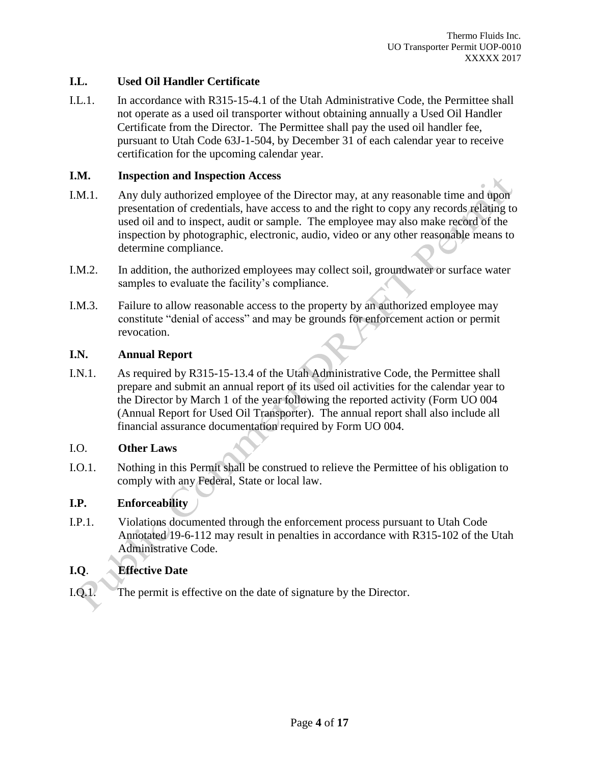#### **I.L. Used Oil Handler Certificate**

I.L.1. In accordance with R315-15-4.1 of the Utah Administrative Code, the Permittee shall not operate as a used oil transporter without obtaining annually a Used Oil Handler Certificate from the Director. The Permittee shall pay the used oil handler fee, pursuant to Utah Code 63J-1-504, by December 31 of each calendar year to receive certification for the upcoming calendar year.

#### **I.M. Inspection and Inspection Access**

- I.M.1. Any duly authorized employee of the Director may, at any reasonable time and upon presentation of credentials, have access to and the right to copy any records relating to used oil and to inspect, audit or sample. The employee may also make record of the inspection by photographic, electronic, audio, video or any other reasonable means to determine compliance.
- I.M.2. In addition, the authorized employees may collect soil, groundwater or surface water samples to evaluate the facility's compliance.
- I.M.3. Failure to allow reasonable access to the property by an authorized employee may constitute "denial of access" and may be grounds for enforcement action or permit revocation.

#### **I.N. Annual Report**

I.N.1. As required by R315-15-13.4 of the Utah Administrative Code, the Permittee shall prepare and submit an annual report of its used oil activities for the calendar year to the Director by March 1 of the year following the reported activity (Form UO 004 (Annual Report for Used Oil Transporter). The annual report shall also include all financial assurance documentation required by Form UO 004.

#### I.O. **Other Laws**

I.O.1. Nothing in this Permit shall be construed to relieve the Permittee of his obligation to comply with any Federal, State or local law.

#### **I.P. Enforceability**

I.P.1. Violations documented through the enforcement process pursuant to Utah Code Annotated 19-6-112 may result in penalties in accordance with R315-102 of the Utah Administrative Code.

#### **I.Q**. **Effective Date**

I.Q.1. The permit is effective on the date of signature by the Director.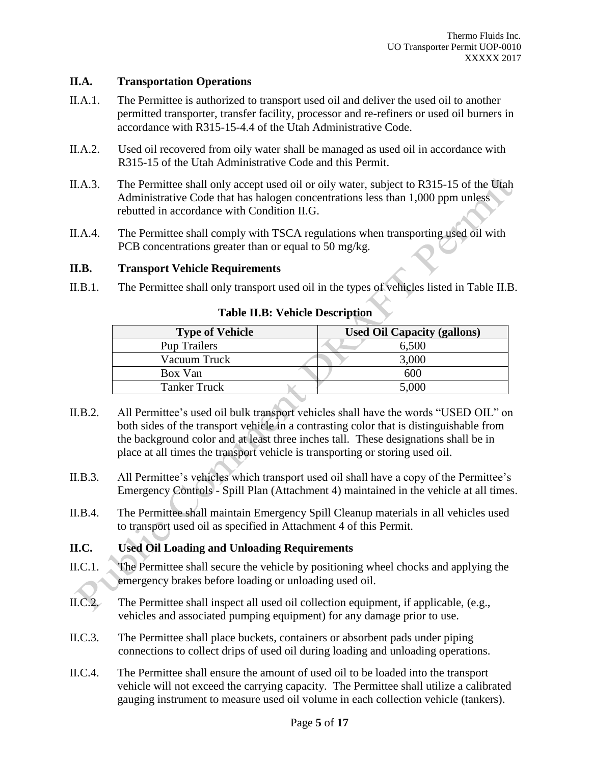#### **II.A. Transportation Operations**

- II.A.1. The Permittee is authorized to transport used oil and deliver the used oil to another permitted transporter, transfer facility, processor and re-refiners or used oil burners in accordance with R315-15-4.4 of the Utah Administrative Code.
- II.A.2. Used oil recovered from oily water shall be managed as used oil in accordance with R315-15 of the Utah Administrative Code and this Permit.
- II.A.3. The Permittee shall only accept used oil or oily water, subject to R315-15 of the Utah Administrative Code that has halogen concentrations less than 1,000 ppm unless rebutted in accordance with Condition II.G.
- II.A.4. The Permittee shall comply with TSCA regulations when transporting used oil with PCB concentrations greater than or equal to 50 mg/kg.

#### **II.B. Transport Vehicle Requirements**

II.B.1. The Permittee shall only transport used oil in the types of vehicles listed in Table II.B.

| <b>Type of Vehicle</b> | <b>Used Oil Capacity (gallons)</b> |  |
|------------------------|------------------------------------|--|
| <b>Pup Trailers</b>    | 6,500                              |  |
| Vacuum Truck           | 3,000                              |  |
| Box Van                | 600                                |  |
| Tanker Truck           | 5,000                              |  |

#### **Table II.B: Vehicle Description**

- II.B.2. All Permittee's used oil bulk transport vehicles shall have the words "USED OIL" on both sides of the transport vehicle in a contrasting color that is distinguishable from the background color and at least three inches tall. These designations shall be in place at all times the transport vehicle is transporting or storing used oil.
- II.B.3. All Permittee's vehicles which transport used oil shall have a copy of the Permittee's Emergency Controls - Spill Plan (Attachment 4) maintained in the vehicle at all times.
- II.B.4. The Permittee shall maintain Emergency Spill Cleanup materials in all vehicles used to transport used oil as specified in Attachment 4 of this Permit.

#### **II.C. Used Oil Loading and Unloading Requirements**

- II.C.1. The Permittee shall secure the vehicle by positioning wheel chocks and applying the emergency brakes before loading or unloading used oil.
- II.C.2. The Permittee shall inspect all used oil collection equipment, if applicable, (e.g., vehicles and associated pumping equipment) for any damage prior to use.
- II.C.3. The Permittee shall place buckets, containers or absorbent pads under piping connections to collect drips of used oil during loading and unloading operations.
- II.C.4. The Permittee shall ensure the amount of used oil to be loaded into the transport vehicle will not exceed the carrying capacity. The Permittee shall utilize a calibrated gauging instrument to measure used oil volume in each collection vehicle (tankers).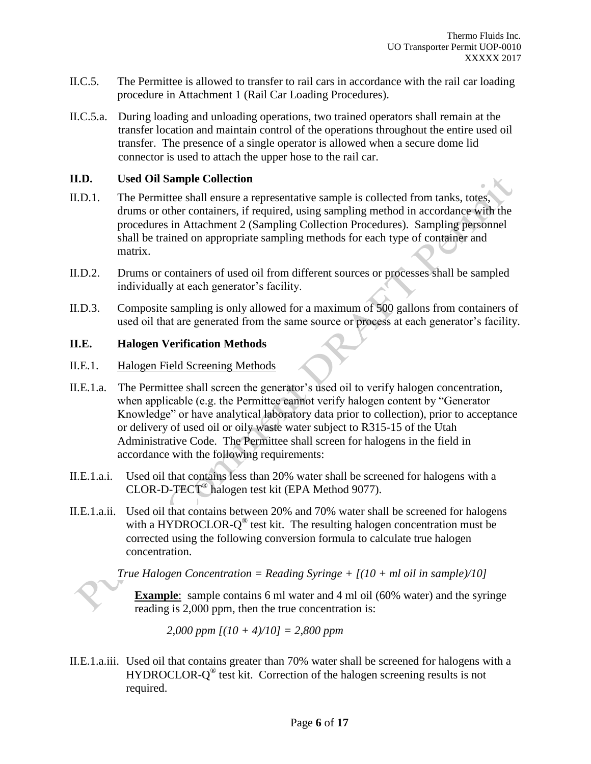- II.C.5. The Permittee is allowed to transfer to rail cars in accordance with the rail car loading procedure in Attachment 1 (Rail Car Loading Procedures).
- II.C.5.a. During loading and unloading operations, two trained operators shall remain at the transfer location and maintain control of the operations throughout the entire used oil transfer. The presence of a single operator is allowed when a secure dome lid connector is used to attach the upper hose to the rail car.

#### **II.D. Used Oil Sample Collection**

- II.D.1. The Permittee shall ensure a representative sample is collected from tanks, totes, drums or other containers, if required, using sampling method in accordance with the procedures in Attachment 2 (Sampling Collection Procedures). Sampling personnel shall be trained on appropriate sampling methods for each type of container and matrix.
- II.D.2. Drums or containers of used oil from different sources or processes shall be sampled individually at each generator's facility.
- II.D.3. Composite sampling is only allowed for a maximum of 500 gallons from containers of used oil that are generated from the same source or process at each generator's facility.

#### **II.E. Halogen Verification Methods**

- II.E.1. Halogen Field Screening Methods
- II.E.1.a. The Permittee shall screen the generator's used oil to verify halogen concentration, when applicable (e.g. the Permittee cannot verify halogen content by "Generator Knowledge" or have analytical laboratory data prior to collection), prior to acceptance or delivery of used oil or oily waste water subject to R315-15 of the Utah Administrative Code. The Permittee shall screen for halogens in the field in accordance with the following requirements:
- II.E.1.a.i. Used oil that contains less than 20% water shall be screened for halogens with a  $\text{CLOR-D-TECT}^{\textcircled{\tiny{\textregistered}}}$  halogen test kit (EPA Method 9077).
- II.E.1.a.ii. Used oil that contains between 20% and 70% water shall be screened for halogens with a HYDROCLOR- $Q^{\circledast}$  test kit. The resulting halogen concentration must be corrected using the following conversion formula to calculate true halogen concentration.

*True Halogen Concentration = Reading Syringe + [(10 + ml oil in sample)/10]*

**Example**: sample contains 6 ml water and 4 ml oil (60% water) and the syringe reading is 2,000 ppm, then the true concentration is:

*2,000 ppm [(10 + 4)/10] = 2,800 ppm*

II.E.1.a.iii. Used oil that contains greater than 70% water shall be screened for halogens with a HYDROCLOR- $Q^{\circledast}$  test kit. Correction of the halogen screening results is not required.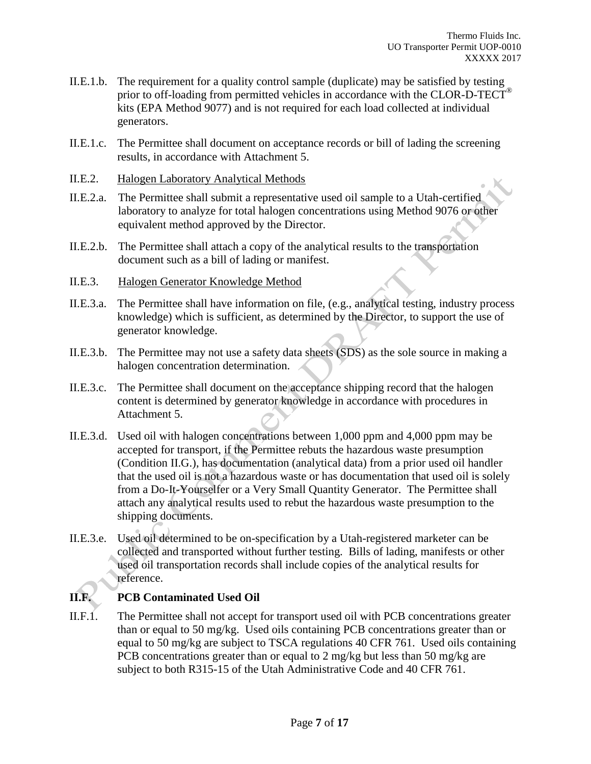- II.E.1.b. The requirement for a quality control sample (duplicate) may be satisfied by testing prior to off-loading from permitted vehicles in accordance with the CLOR-D-TECT® kits (EPA Method 9077) and is not required for each load collected at individual generators.
- II.E.1.c. The Permittee shall document on acceptance records or bill of lading the screening results, in accordance with Attachment 5.
- II.E.2. Halogen Laboratory Analytical Methods
- II.E.2.a. The Permittee shall submit a representative used oil sample to a Utah-certified laboratory to analyze for total halogen concentrations using Method 9076 or other equivalent method approved by the Director.
- II.E.2.b. The Permittee shall attach a copy of the analytical results to the transportation document such as a bill of lading or manifest.
- II.E.3. Halogen Generator Knowledge Method
- II.E.3.a. The Permittee shall have information on file, (e.g., analytical testing, industry process knowledge) which is sufficient, as determined by the Director, to support the use of generator knowledge.
- II.E.3.b. The Permittee may not use a safety data sheets (SDS) as the sole source in making a halogen concentration determination.
- II.E.3.c. The Permittee shall document on the acceptance shipping record that the halogen content is determined by generator knowledge in accordance with procedures in Attachment 5.
- II.E.3.d. Used oil with halogen concentrations between 1,000 ppm and 4,000 ppm may be accepted for transport, if the Permittee rebuts the hazardous waste presumption (Condition II.G.), has documentation (analytical data) from a prior used oil handler that the used oil is not a hazardous waste or has documentation that used oil is solely from a Do-It-Yourselfer or a Very Small Quantity Generator. The Permittee shall attach any analytical results used to rebut the hazardous waste presumption to the shipping documents.
- II.E.3.e. Used oil determined to be on-specification by a Utah-registered marketer can be collected and transported without further testing. Bills of lading, manifests or other used oil transportation records shall include copies of the analytical results for reference.

### **II.F. PCB Contaminated Used Oil**

II.F.1. The Permittee shall not accept for transport used oil with PCB concentrations greater than or equal to 50 mg/kg. Used oils containing PCB concentrations greater than or equal to 50 mg/kg are subject to TSCA regulations 40 CFR 761. Used oils containing PCB concentrations greater than or equal to 2 mg/kg but less than 50 mg/kg are subject to both R315-15 of the Utah Administrative Code and 40 CFR 761.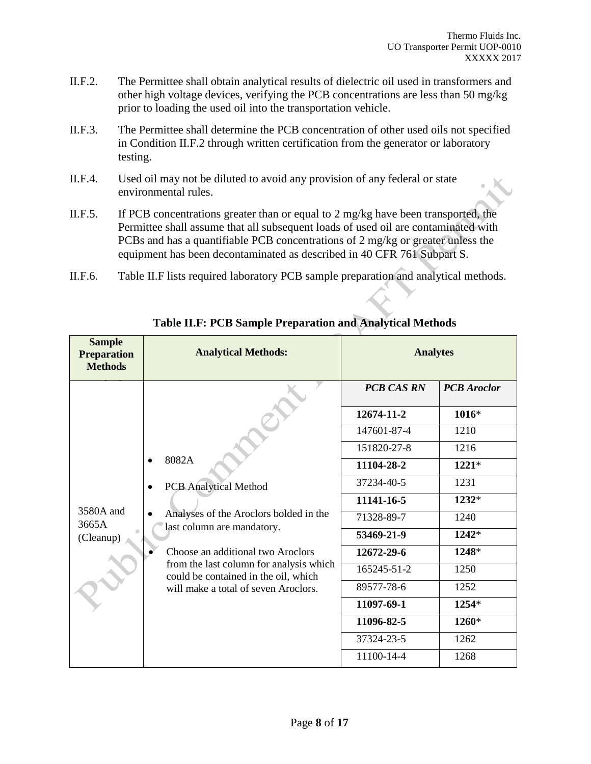X

- II.F.2. The Permittee shall obtain analytical results of dielectric oil used in transformers and other high voltage devices, verifying the PCB concentrations are less than 50 mg/kg prior to loading the used oil into the transportation vehicle.
- II.F.3. The Permittee shall determine the PCB concentration of other used oils not specified in Condition II.F.2 through written certification from the generator or laboratory testing.
- II.F.4. Used oil may not be diluted to avoid any provision of any federal or state environmental rules.
- II.F.5. If PCB concentrations greater than or equal to 2 mg/kg have been transported, the Permittee shall assume that all subsequent loads of used oil are contaminated with PCBs and has a quantifiable PCB concentrations of 2 mg/kg or greater unless the equipment has been decontaminated as described in 40 CFR 761 Subpart S.
- II.F.6. Table II.F lists required laboratory PCB sample preparation and analytical methods.

| <b>Sample</b><br><b>Preparation</b><br><b>Methods</b>                                                                   | <b>Analytical Methods:</b>                                                                                                                                                                                      | <b>Analytes</b>   |                    |
|-------------------------------------------------------------------------------------------------------------------------|-----------------------------------------------------------------------------------------------------------------------------------------------------------------------------------------------------------------|-------------------|--------------------|
|                                                                                                                         | 8082A<br>$\bullet$<br><b>PCB</b> Analytical Method<br>$\bullet$<br>3580A and<br>Analyses of the Aroclors bolded in the<br>3665A<br>last column are mandatory.<br>(Cleanup)<br>Choose an additional two Aroclors | <b>PCB CAS RN</b> | <b>PCB</b> Aroclor |
|                                                                                                                         |                                                                                                                                                                                                                 | 12674-11-2        | $1016*$            |
|                                                                                                                         |                                                                                                                                                                                                                 | 147601-87-4       | 1210               |
|                                                                                                                         |                                                                                                                                                                                                                 | 151820-27-8       | 1216               |
|                                                                                                                         |                                                                                                                                                                                                                 | 11104-28-2        | $1221*$            |
|                                                                                                                         |                                                                                                                                                                                                                 | 37234-40-5        | 1231               |
|                                                                                                                         |                                                                                                                                                                                                                 | 11141-16-5        | 1232*              |
|                                                                                                                         |                                                                                                                                                                                                                 | 71328-89-7        | 1240               |
|                                                                                                                         |                                                                                                                                                                                                                 | 53469-21-9        | 1242*              |
|                                                                                                                         |                                                                                                                                                                                                                 | 12672-29-6        | 1248*              |
| from the last column for analysis which<br>could be contained in the oil, which<br>will make a total of seven Aroclors. | 165245-51-2                                                                                                                                                                                                     | 1250              |                    |
|                                                                                                                         | 89577-78-6                                                                                                                                                                                                      | 1252              |                    |
|                                                                                                                         |                                                                                                                                                                                                                 | 11097-69-1        | 1254*              |
|                                                                                                                         |                                                                                                                                                                                                                 | 11096-82-5        | 1260*              |
|                                                                                                                         |                                                                                                                                                                                                                 | 37324-23-5        | 1262               |
|                                                                                                                         |                                                                                                                                                                                                                 | 11100-14-4        | 1268               |

**Table II.F: PCB Sample Preparation and Analytical Methods**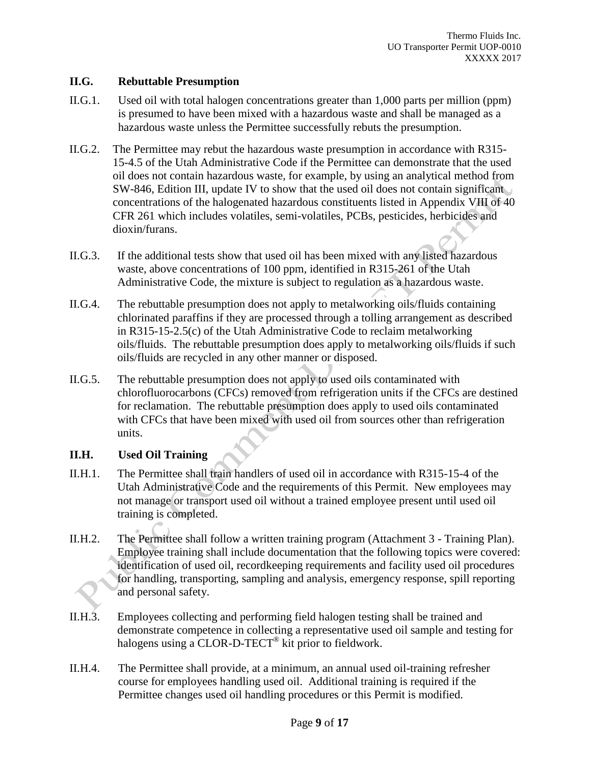#### **II.G. Rebuttable Presumption**

- II.G.1. Used oil with total halogen concentrations greater than 1,000 parts per million (ppm) is presumed to have been mixed with a hazardous waste and shall be managed as a hazardous waste unless the Permittee successfully rebuts the presumption.
- II.G.2. The Permittee may rebut the hazardous waste presumption in accordance with R315- 15-4.5 of the Utah Administrative Code if the Permittee can demonstrate that the used oil does not contain hazardous waste, for example, by using an analytical method from SW-846, Edition III, update IV to show that the used oil does not contain significant concentrations of the halogenated hazardous constituents listed in Appendix VIII of 40 CFR 261 which includes volatiles, semi-volatiles, PCBs, pesticides, herbicides and dioxin/furans.
- II.G.3. If the additional tests show that used oil has been mixed with any listed hazardous waste, above concentrations of 100 ppm, identified in R315-261 of the Utah Administrative Code, the mixture is subject to regulation as a hazardous waste.
- II.G.4. The rebuttable presumption does not apply to metalworking oils/fluids containing chlorinated paraffins if they are processed through a tolling arrangement as described in R315-15-2.5(c) of the Utah Administrative Code to reclaim metalworking oils/fluids. The rebuttable presumption does apply to metalworking oils/fluids if such oils/fluids are recycled in any other manner or disposed.
- II.G.5. The rebuttable presumption does not apply to used oils contaminated with chlorofluorocarbons (CFCs) removed from refrigeration units if the CFCs are destined for reclamation. The rebuttable presumption does apply to used oils contaminated with CFCs that have been mixed with used oil from sources other than refrigeration units.

#### **II.H. Used Oil Training**

- II.H.1. The Permittee shall train handlers of used oil in accordance with R315-15-4 of the Utah Administrative Code and the requirements of this Permit. New employees may not manage or transport used oil without a trained employee present until used oil training is completed.
- II.H.2. The Permittee shall follow a written training program (Attachment 3 Training Plan). Employee training shall include documentation that the following topics were covered: identification of used oil, recordkeeping requirements and facility used oil procedures for handling, transporting, sampling and analysis, emergency response, spill reporting and personal safety.
- II.H.3. Employees collecting and performing field halogen testing shall be trained and demonstrate competence in collecting a representative used oil sample and testing for halogens using a CLOR-D-TECT<sup>®</sup> kit prior to fieldwork.
- II.H.4. The Permittee shall provide, at a minimum, an annual used oil-training refresher course for employees handling used oil. Additional training is required if the Permittee changes used oil handling procedures or this Permit is modified.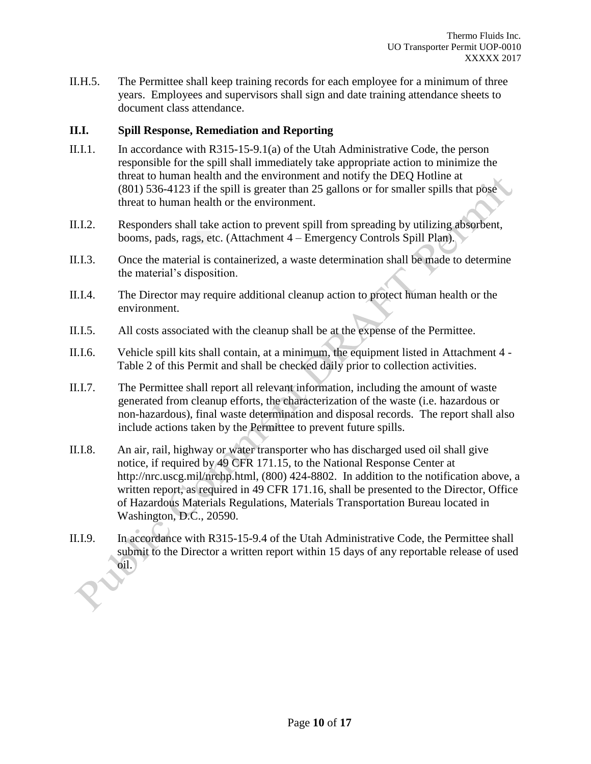II.H.5. The Permittee shall keep training records for each employee for a minimum of three years. Employees and supervisors shall sign and date training attendance sheets to document class attendance.

#### **II.I. Spill Response, Remediation and Reporting**

- II.I.1. In accordance with R315-15-9.1(a) of the Utah Administrative Code, the person responsible for the spill shall immediately take appropriate action to minimize the threat to human health and the environment and notify the DEQ Hotline at (801) 536-4123 if the spill is greater than 25 gallons or for smaller spills that pose threat to human health or the environment.
- II.I.2. Responders shall take action to prevent spill from spreading by utilizing absorbent, booms, pads, rags, etc. (Attachment 4 – Emergency Controls Spill Plan).
- II.I.3. Once the material is containerized, a waste determination shall be made to determine the material's disposition.
- II.I.4. The Director may require additional cleanup action to protect human health or the environment.
- II.I.5. All costs associated with the cleanup shall be at the expense of the Permittee.
- II.I.6. Vehicle spill kits shall contain, at a minimum, the equipment listed in Attachment 4 Table 2 of this Permit and shall be checked daily prior to collection activities.
- II.I.7. The Permittee shall report all relevant information, including the amount of waste generated from cleanup efforts, the characterization of the waste (i.e. hazardous or non-hazardous), final waste determination and disposal records. The report shall also include actions taken by the Permittee to prevent future spills.
- II.I.8. An air, rail, highway or water transporter who has discharged used oil shall give notice, if required by 49 CFR 171.15, to the National Response Center at http://nrc.uscg.mil/nrchp.html, (800) 424-8802. In addition to the notification above, a written report, as required in 49 CFR 171.16, shall be presented to the Director, Office of Hazardous Materials Regulations, Materials Transportation Bureau located in Washington, D.C., 20590.
- II.I.9. In accordance with R315-15-9.4 of the Utah Administrative Code, the Permittee shall submit to the Director a written report within 15 days of any reportable release of used oil.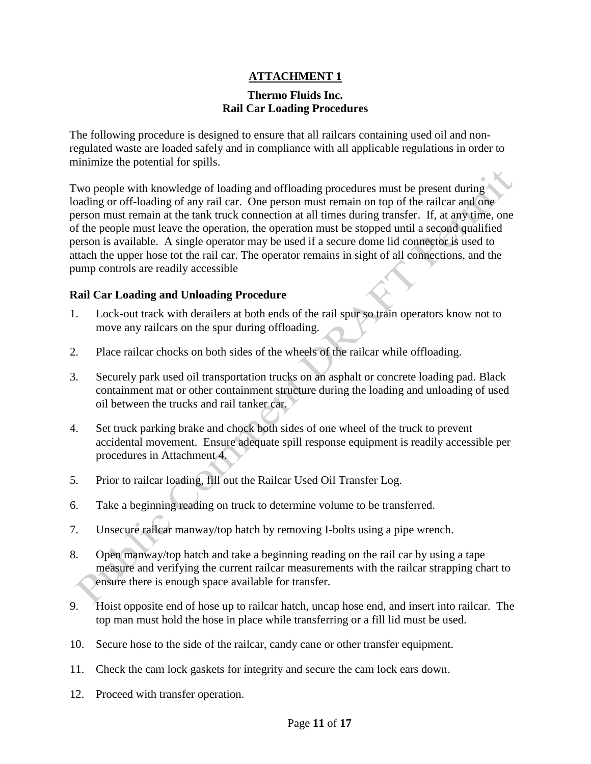#### **Thermo Fluids Inc. Rail Car Loading Procedures**

The following procedure is designed to ensure that all railcars containing used oil and nonregulated waste are loaded safely and in compliance with all applicable regulations in order to minimize the potential for spills.

Two people with knowledge of loading and offloading procedures must be present during loading or off-loading of any rail car. One person must remain on top of the railcar and one person must remain at the tank truck connection at all times during transfer. If, at any time, one of the people must leave the operation, the operation must be stopped until a second qualified person is available. A single operator may be used if a secure dome lid connector is used to attach the upper hose tot the rail car. The operator remains in sight of all connections, and the pump controls are readily accessible

#### **Rail Car Loading and Unloading Procedure**

- 1. Lock-out track with derailers at both ends of the rail spur so train operators know not to move any railcars on the spur during offloading.
- 2. Place railcar chocks on both sides of the wheels of the railcar while offloading.
- 3. Securely park used oil transportation trucks on an asphalt or concrete loading pad. Black containment mat or other containment structure during the loading and unloading of used oil between the trucks and rail tanker car.
- 4. Set truck parking brake and chock both sides of one wheel of the truck to prevent accidental movement. Ensure adequate spill response equipment is readily accessible per procedures in Attachment 4.
- 5. Prior to railcar loading, fill out the Railcar Used Oil Transfer Log.
- 6. Take a beginning reading on truck to determine volume to be transferred.
- 7. Unsecure railcar manway/top hatch by removing I-bolts using a pipe wrench.
- 8. Open manway/top hatch and take a beginning reading on the rail car by using a tape measure and verifying the current railcar measurements with the railcar strapping chart to ensure there is enough space available for transfer.
- 9. Hoist opposite end of hose up to railcar hatch, uncap hose end, and insert into railcar. The top man must hold the hose in place while transferring or a fill lid must be used.
- 10. Secure hose to the side of the railcar, candy cane or other transfer equipment.
- 11. Check the cam lock gaskets for integrity and secure the cam lock ears down.
- 12. Proceed with transfer operation.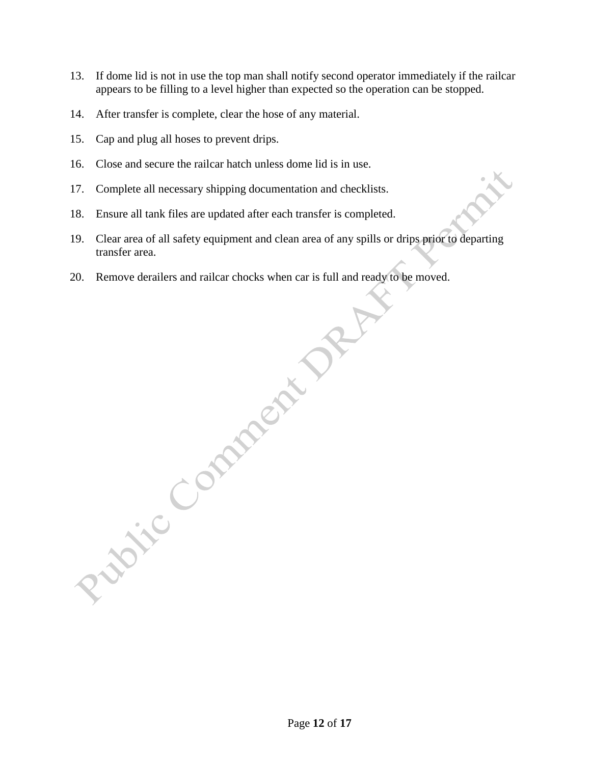- 13. If dome lid is not in use the top man shall notify second operator immediately if the railcar appears to be filling to a level higher than expected so the operation can be stopped.
- 14. After transfer is complete, clear the hose of any material.
- 15. Cap and plug all hoses to prevent drips.
- 16. Close and secure the railcar hatch unless dome lid is in use.
- 17. Complete all necessary shipping documentation and checklists.
- 18. Ensure all tank files are updated after each transfer is completed.
- 19. Clear area of all safety equipment and clean area of any spills or drips prior to departing transfer area.
- 20. Remove derailers and railcar chocks when car is full and ready to be moved.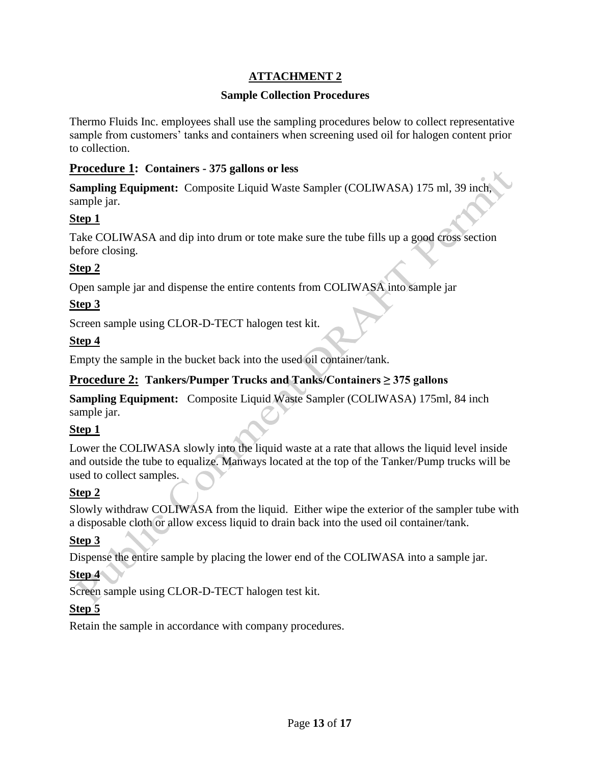### **Sample Collection Procedures**

Thermo Fluids Inc. employees shall use the sampling procedures below to collect representative sample from customers' tanks and containers when screening used oil for halogen content prior to collection.

### **Procedure 1: Containers - 375 gallons or less**

**Sampling Equipment:** Composite Liquid Waste Sampler (COLIWASA) 175 ml, 39 inch, sample jar.

# **Step 1**

Take COLIWASA and dip into drum or tote make sure the tube fills up a good cross section before closing.

# **Step 2**

Open sample jar and dispense the entire contents from COLIWASA into sample jar

# **Step 3**

Screen sample using CLOR-D-TECT halogen test kit.

# **Step 4**

Empty the sample in the bucket back into the used oil container/tank.

# **Procedure 2: Tankers/Pumper Trucks and Tanks/Containers ≥ 375 gallons**

**Sampling Equipment:** Composite Liquid Waste Sampler (COLIWASA) 175ml, 84 inch sample jar.

# **Step 1**

Lower the COLIWASA slowly into the liquid waste at a rate that allows the liquid level inside and outside the tube to equalize. Manways located at the top of the Tanker/Pump trucks will be used to collect samples.

# **Step 2**

Slowly withdraw COLIWASA from the liquid. Either wipe the exterior of the sampler tube with a disposable cloth or allow excess liquid to drain back into the used oil container/tank.

# **Step 3**

Dispense the entire sample by placing the lower end of the COLIWASA into a sample jar.

# **Step 4**

Screen sample using CLOR-D-TECT halogen test kit.

# **Step 5**

Retain the sample in accordance with company procedures.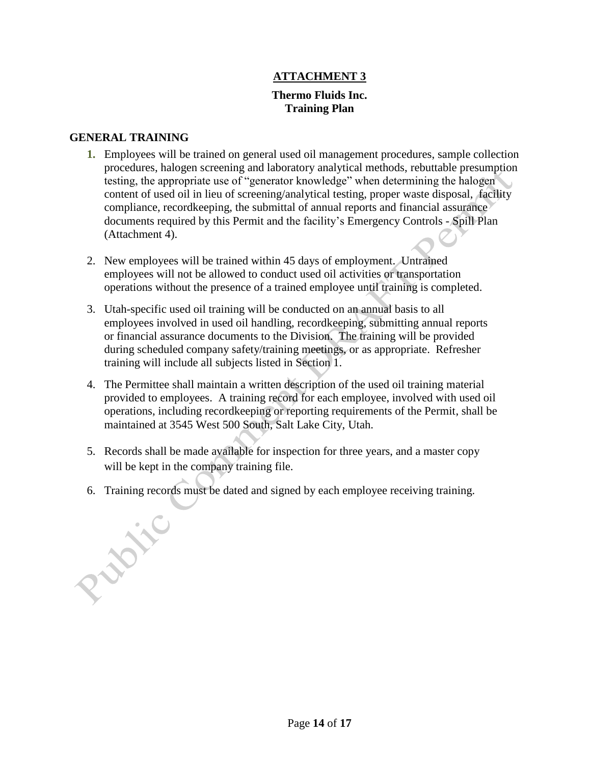### **Thermo Fluids Inc. Training Plan**

#### **GENERAL TRAINING**

Public

- **1.** Employees will be trained on general used oil management procedures, sample collection procedures, halogen screening and laboratory analytical methods, rebuttable presumption testing, the appropriate use of "generator knowledge" when determining the halogen content of used oil in lieu of screening/analytical testing, proper waste disposal, facility compliance, recordkeeping, the submittal of annual reports and financial assurance documents required by this Permit and the facility's Emergency Controls - Spill Plan (Attachment 4).
- 2. New employees will be trained within 45 days of employment. Untrained employees will not be allowed to conduct used oil activities or transportation operations without the presence of a trained employee until training is completed.
- 3. Utah-specific used oil training will be conducted on an annual basis to all employees involved in used oil handling, recordkeeping, submitting annual reports or financial assurance documents to the Division. The training will be provided during scheduled company safety/training meetings, or as appropriate. Refresher training will include all subjects listed in Section 1.
- 4. The Permittee shall maintain a written description of the used oil training material provided to employees. A training record for each employee, involved with used oil operations, including recordkeeping or reporting requirements of the Permit, shall be maintained at 3545 West 500 South, Salt Lake City, Utah.
- 5. Records shall be made available for inspection for three years, and a master copy will be kept in the company training file.
- 6. Training records must be dated and signed by each employee receiving training.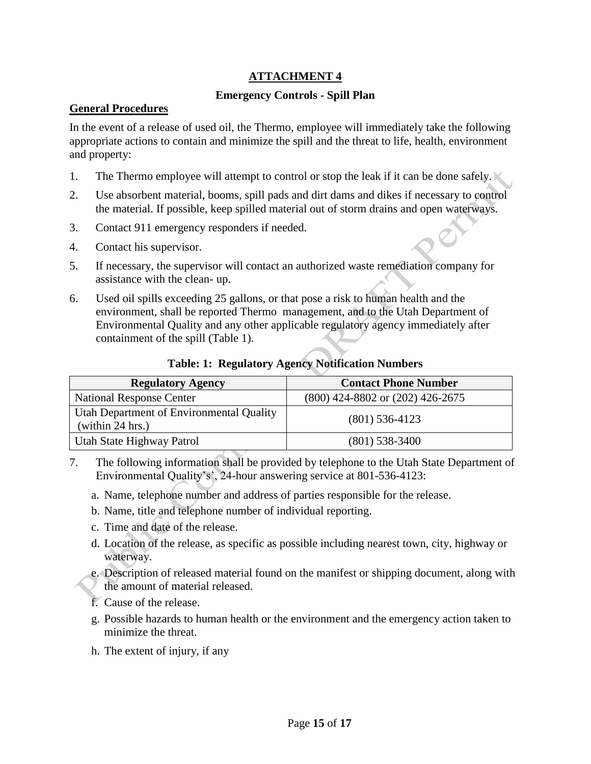#### **Emergency Controls - Spill Plan**

#### **General Procedures**

In the event of a release of used oil, the Thermo, employee will immediately take the following appropriate actions to contain and minimize the spill and the threat to life, health, environment and property:

- 1. The Thermo employee will attempt to control or stop the leak if it can be done safely.
- 2. Use absorbent material, booms, spill pads and dirt dams and dikes if necessary to control the material. If possible, keep spilled material out of storm drains and open waterways.
- 3. Contact 911 emergency responders if needed.
- 4. Contact his supervisor.
- 5. If necessary, the supervisor will contact an authorized waste remediation company for assistance with the clean- up.
- 6. Used oil spills exceeding 25 gallons, or that pose a risk to human health and the environment, shall be reported Thermo management, and to the Utah Department of Environmental Quality and any other applicable regulatory agency immediately after containment of the spill (Table 1).

#### **Table: 1: Regulatory Agency Notification Numbers**

| <b>Regulatory Agency</b>                                     | <b>Contact Phone Number</b>          |
|--------------------------------------------------------------|--------------------------------------|
| <b>National Response Center</b>                              | $(800)$ 424-8802 or $(202)$ 426-2675 |
| Utah Department of Environmental Quality<br>(within 24 hrs.) | $(801)$ 536-4123                     |
| Utah State Highway Patrol                                    | $(801)$ 538-3400                     |

- 7. The following information shall be provided by telephone to the Utah State Department of Environmental Quality's', 24-hour answering service at 801-536-4123:
	- a. Name, telephone number and address of parties responsible for the release.
	- b. Name, title and telephone number of individual reporting.
	- c. Time and date of the release.
	- d. Location of the release, as specific as possible including nearest town, city, highway or waterway.
	- e. Description of released material found on the manifest or shipping document, along with the amount of material released.
	- f. Cause of the release.
	- g. Possible hazards to human health or the environment and the emergency action taken to minimize the threat.
	- h. The extent of injury, if any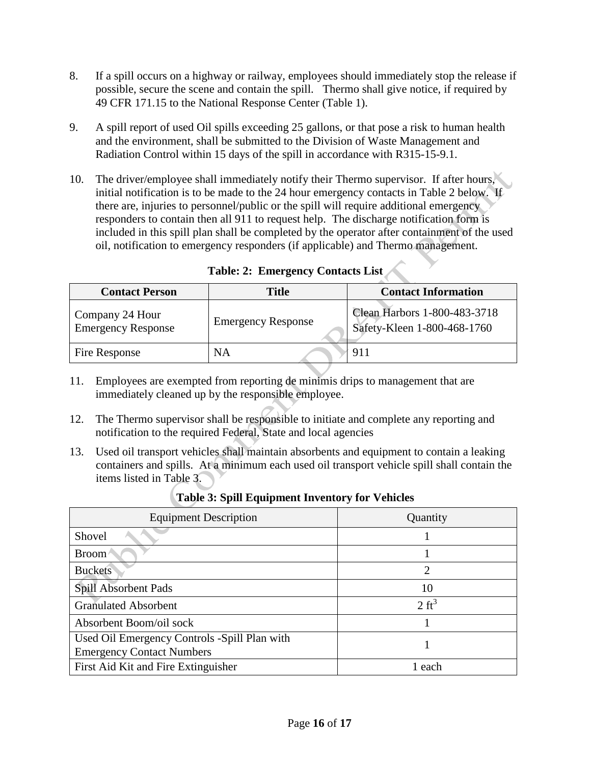- 8. If a spill occurs on a highway or railway, employees should immediately stop the release if possible, secure the scene and contain the spill. Thermo shall give notice, if required by 49 CFR 171.15 to the National Response Center (Table 1).
- 9. A spill report of used Oil spills exceeding 25 gallons, or that pose a risk to human health and the environment, shall be submitted to the Division of Waste Management and Radiation Control within 15 days of the spill in accordance with R315-15-9.1.
- 10. The driver/employee shall immediately notify their Thermo supervisor. If after hours, initial notification is to be made to the 24 hour emergency contacts in Table 2 below. If there are, injuries to personnel/public or the spill will require additional emergency responders to contain then all 911 to request help. The discharge notification form is included in this spill plan shall be completed by the operator after containment of the used oil, notification to emergency responders (if applicable) and Thermo management.

| <b>Contact Person</b>                        | Title                     | <b>Contact Information</b>                                  |
|----------------------------------------------|---------------------------|-------------------------------------------------------------|
| Company 24 Hour<br><b>Emergency Response</b> | <b>Emergency Response</b> | Clean Harbors 1-800-483-3718<br>Safety-Kleen 1-800-468-1760 |
| Fire Response                                | NA                        | 911                                                         |

**Table: 2: Emergency Contacts List**

- 11. Employees are exempted from reporting de minimis drips to management that are immediately cleaned up by the responsible employee.
- 12. The Thermo supervisor shall be responsible to initiate and complete any reporting and notification to the required Federal, State and local agencies
- 13. Used oil transport vehicles shall maintain absorbents and equipment to contain a leaking containers and spills. At a minimum each used oil transport vehicle spill shall contain the items listed in Table 3.

| <b>Equipment Description</b>                                                     | Quantity         |
|----------------------------------------------------------------------------------|------------------|
| Shovel                                                                           |                  |
| Broom <sup>*</sup>                                                               |                  |
| <b>Buckets</b>                                                                   | 2                |
| Spill Absorbent Pads                                                             | 10               |
| <b>Granulated Absorbent</b>                                                      | $2 \text{ ft}^3$ |
| Absorbent Boom/oil sock                                                          |                  |
| Used Oil Emergency Controls -Spill Plan with<br><b>Emergency Contact Numbers</b> |                  |
| First Aid Kit and Fire Extinguisher                                              | 1 each           |

**Table 3: Spill Equipment Inventory for Vehicles**